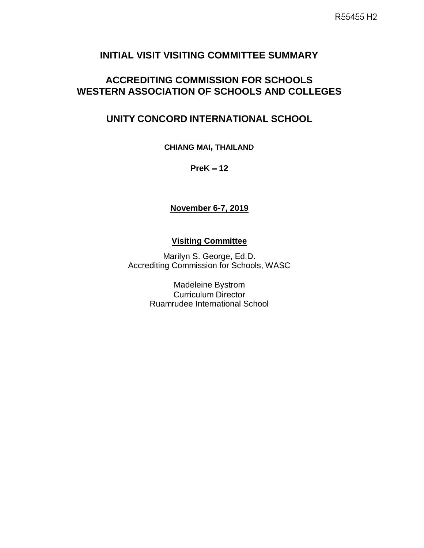## **INITIAL VISIT VISITING COMMITTEE SUMMARY**

### **ACCREDITING COMMISSION FOR SCHOOLS WESTERN ASSOCIATION OF SCHOOLS AND COLLEGES**

## **UNITY CONCORD INTERNATIONAL SCHOOL**

**CHIANG MAI, THAILAND**

**PreK – 12** 

#### **November 6-7, 2019**

#### **Visiting Committee**

Marilyn S. George, Ed.D. Accrediting Commission for Schools, WASC

> Madeleine Bystrom Curriculum Director Ruamrudee International School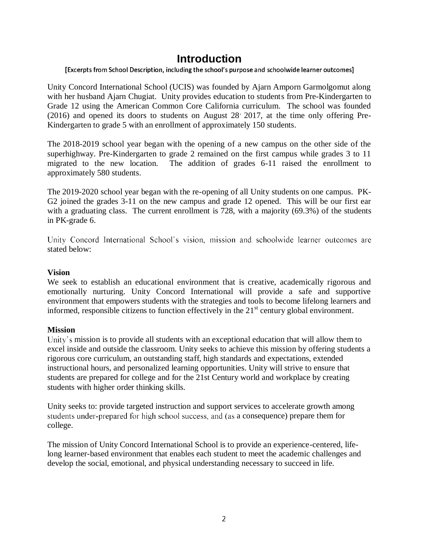## **Introduction**

#### [Excerpts from School Description, including the school's purpose and schoolwide learner outcomes]

Unity Concord International School (UCIS) was founded by Ajarn Amporn Garmolgomut along with her husband Ajarn Chugiat. Unity provides education to students from Pre-Kindergarten to Grade 12 using the American Common Core California curriculum. The school was founded (2016) and opened its doors to students on August 28<sup>,</sup> 2017, at the time only offering Pre-Kindergarten to grade 5 with an enrollment of approximately 150 students.

 The 2018-2019 school year began with the opening of a new campus on the other side of the superhighway. Pre-Kindergarten to grade 2 remained on the first campus while grades 3 to 11 migrated to the new location. The addition of grades 6-11 raised the enrollment to approximately 580 students.

 The 2019-2020 school year began with the re-opening of all Unity students on one campus. PK-G2 joined the grades 3-11 on the new campus and grade 12 opened. This will be our first ear with a graduating class. The current enrollment is 728, with a majority (69.3%) of the students in PK-grade 6.

Unity Concord International School's vision, mission and schoolwide learner outcomes are stated below:

#### **Vision**

We seek to establish an educational environment that is creative, academically rigorous and emotionally nurturing. Unity Concord International will provide a safe and supportive environment that empowers students with the strategies and tools to become lifelong learners and informed, responsible citizens to function effectively in the  $21<sup>st</sup>$  century global environment.

#### **Mission**

Unity's mission is to provide all students with an exceptional education that will allow them to excel inside and outside the classroom. Unity seeks to achieve this mission by offering students a rigorous core curriculum, an outstanding staff, high standards and expectations, extended instructional hours, and personalized learning opportunities. Unity will strive to ensure that students are prepared for college and for the 21st Century world and workplace by creating students with higher order thinking skills.

Unity seeks to: provide targeted instruction and support services to accelerate growth among students under-prepared for high school success, and (as a consequence) prepare them for college.

The mission of Unity Concord International School is to provide an experience-centered, lifelong learner-based environment that enables each student to meet the academic challenges and develop the social, emotional, and physical understanding necessary to succeed in life.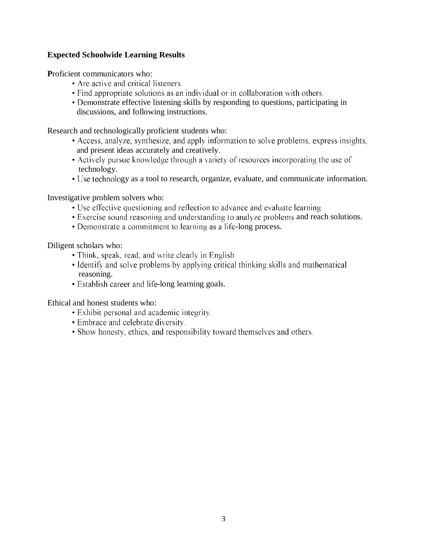#### **Expected Schoolwide Learning Results**

**P**roficient communicators who:

- Are active and critical listeners.
- Find appropriate solutions as an individual or in collaboration with others.
- Demonstrate effective listening skills by responding to questions, participating in discussions, and following instructions.

Research and technologically proficient students who:

- Access, analyze, synthesize, and apply information to solve problems, express insights, and present ideas accurately and creatively.
- Actively pursue knowledge through a variety of resources incorporating the use of technology.
- Use technology as a tool to research, organize, evaluate, and communicate information.

Investigative problem solvers who:

- Use effective questioning and reflection to advance and evaluate learning.
- Exercise sound reasoning and understanding to analyze problems and reach solutions.
- Demonstrate a commitment to learning as a life-long process.

Diligent scholars who:

- Think, speak, read, and write clearly in English
- Identify and solve problems by applying critical thinking skills and mathematical reasoning.
- Establish career and life-long learning goals.

Ethical and honest students who:

- Exhibit personal and academic integrity.
- Embrace and celebrate diversity.
- Show honesty, ethics, and responsibility toward themselves and others.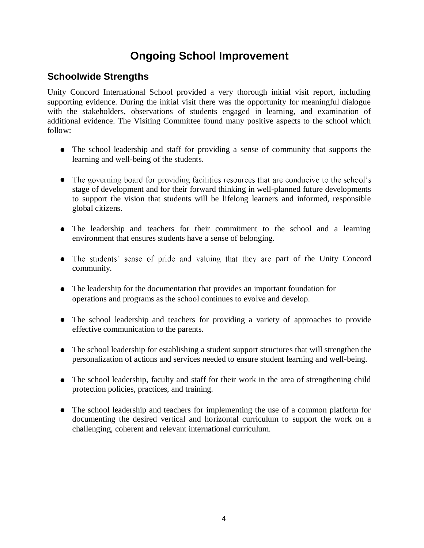# **Ongoing School Improvement**

## **Schoolwide Strengths**

Unity Concord International School provided a very thorough initial visit report, including supporting evidence. During the initial visit there was the opportunity for meaningful dialogue with the stakeholders, observations of students engaged in learning, and examination of additional evidence. The Visiting Committee found many positive aspects to the school which follow:

- The school leadership and staff for providing a sense of community that supports the learning and well-being of the students.
- The governing board for providing facilities resources that are conducive to the school's stage of development and for their forward thinking in well-planned future developments to support the vision that students will be lifelong learners and informed, responsible global citizens.
- The leadership and teachers for their commitment to the school and a learning environment that ensures students have a sense of belonging.
- The students' sense of pride and valuing that they are part of the Unity Concord community.
- The leadership for the documentation that provides an important foundation for operations and programs as the school continues to evolve and develop.
- The school leadership and teachers for providing a variety of approaches to provide effective communication to the parents.
- The school leadership for establishing a student support structures that will strengthen the personalization of actions and services needed to ensure student learning and well-being.
- The school leadership, faculty and staff for their work in the area of strengthening child protection policies, practices, and training.
- The school leadership and teachers for implementing the use of a common platform for documenting the desired vertical and horizontal curriculum to support the work on a challenging, coherent and relevant international curriculum.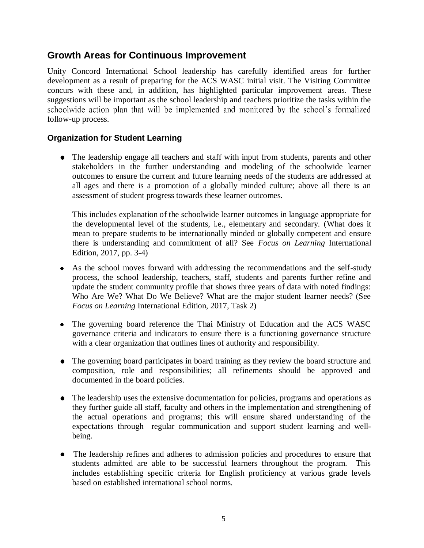#### **Growth Areas for Continuous Improvement**

Unity Concord International School leadership has carefully identified areas for further development as a result of preparing for the ACS WASC initial visit. The Visiting Committee concurs with these and, in addition, has highlighted particular improvement areas. These suggestions will be important as the school leadership and teachers prioritize the tasks within the schoolwide action plan that will be implemented and monitored by the school's formalized follow-up process.

#### **Organization for Student Learning**

The leadership engage all teachers and staff with input from students, parents and other stakeholders in the further understanding and modeling of the schoolwide learner outcomes to ensure the current and future learning needs of the students are addressed at all ages and there is a promotion of a globally minded culture; above all there is an assessment of student progress towards these learner outcomes.

This includes explanation of the schoolwide learner outcomes in language appropriate for the developmental level of the students, i.e., elementary and secondary. (What does it mean to prepare students to be internationally minded or globally competent and ensure there is understanding and commitment of all? See *Focus on Learning* International Edition, 2017, pp. 3-4)

- As the school moves forward with addressing the recommendations and the self-study process, the school leadership, teachers, staff, students and parents further refine and update the student community profile that shows three years of data with noted findings: Who Are We? What Do We Believe? What are the major student learner needs? (See *Focus on Learning* International Edition, 2017, Task 2)
- The governing board reference the Thai Ministry of Education and the ACS WASC governance criteria and indicators to ensure there is a functioning governance structure with a clear organization that outlines lines of authority and responsibility.
- $\bullet$ The governing board participates in board training as they review the board structure and composition, role and responsibilities; all refinements should be approved and documented in the board policies.
- The leadership uses the extensive documentation for policies, programs and operations as  $\bullet$ they further guide all staff, faculty and others in the implementation and strengthening of the actual operations and programs; this will ensure shared understanding of the expectations through regular communication and support student learning and wellbeing.
- The leadership refines and adheres to admission policies and procedures to ensure that students admitted are able to be successful learners throughout the program. This includes establishing specific criteria for English proficiency at various grade levels based on established international school norms.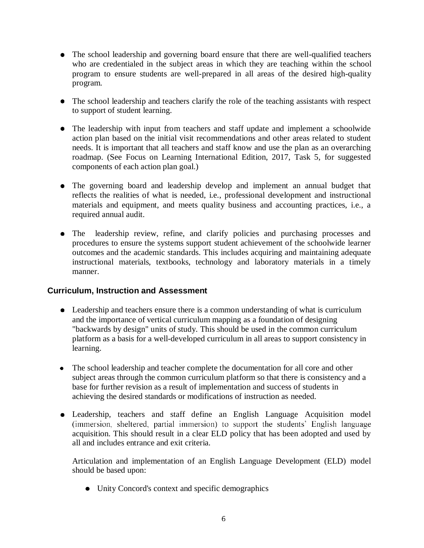- The school leadership and governing board ensure that there are well-qualified teachers who are credentialed in the subject areas in which they are teaching within the school program to ensure students are well-prepared in all areas of the desired high-quality program.
- The school leadership and teachers clarify the role of the teaching assistants with respect to support of student learning.
- The leadership with input from teachers and staff update and implement a schoolwide action plan based on the initial visit recommendations and other areas related to student needs. It is important that all teachers and staff know and use the plan as an overarching roadmap. (See Focus on Learning International Edition, 2017, Task 5, for suggested components of each action plan goal.)
- The governing board and leadership develop and implement an annual budget that reflects the realities of what is needed, i.e., professional development and instructional materials and equipment, and meets quality business and accounting practices, i.e., a required annual audit.
- The leadership review, refine, and clarify policies and purchasing processes and procedures to ensure the systems support student achievement of the schoolwide learner outcomes and the academic standards. This includes acquiring and maintaining adequate instructional materials, textbooks, technology and laboratory materials in a timely manner.

#### **Curriculum, Instruction and Assessment**

- Leadership and teachers ensure there is a common understanding of what is curriculum and the importance of vertical curriculum mapping as a foundation of designing "backwards by design" units of study. This should be used in the common curriculum platform as a basis for a well-developed curriculum in all areas to support consistency in learning.
- The school leadership and teacher complete the documentation for all core and other  $\bullet$ subject areas through the common curriculum platform so that there is consistency and a base for further revision as a result of implementation and success of students in achieving the desired standards or modifications of instruction as needed.
- Leadership, teachers and staff define an English Language Acquisition model (immersion, sheltered, partial immersion) to support the students' English language acquisition. This should result in a clear ELD policy that has been adopted and used by all and includes entrance and exit criteria.

Articulation and implementation of an English Language Development (ELD) model should be based upon:

• Unity Concord's context and specific demographics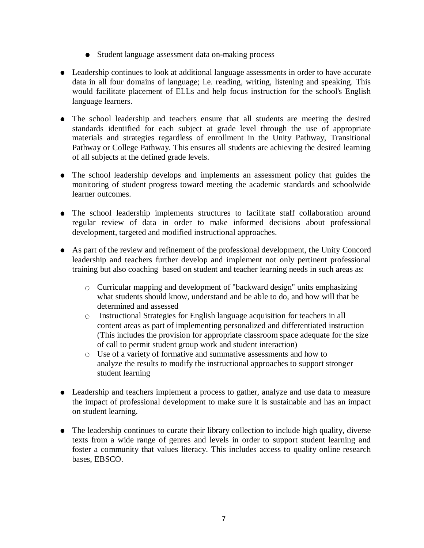- Student language assessment data on-making process
- Leadership continues to look at additional language assessments in order to have accurate data in all four domains of language; i.e. reading, writing, listening and speaking. This would facilitate placement of ELLs and help focus instruction for the school's English language learners.
- The school leadership and teachers ensure that all students are meeting the desired  $\bullet$ standards identified for each subject at grade level through the use of appropriate materials and strategies regardless of enrollment in the Unity Pathway, Transitional Pathway or College Pathway. This ensures all students are achieving the desired learning of all subjects at the defined grade levels.
- The school leadership develops and implements an assessment policy that guides the  $\bullet$ monitoring of student progress toward meeting the academic standards and schoolwide learner outcomes.
- The school leadership implements structures to facilitate staff collaboration around regular review of data in order to make informed decisions about professional development, targeted and modified instructional approaches.
- As part of the review and refinement of the professional development, the Unity Concord leadership and teachers further develop and implement not only pertinent professional training but also coaching based on student and teacher learning needs in such areas as:
	- $\circ$  Curricular mapping and development of "backward design" units emphasizing what students should know, understand and be able to do, and how will that be determined and assessed
	- Instructional Strategies for English language acquisition for teachers in all content areas as part of implementing personalized and differentiated instruction (This includes the provision for appropriate classroom space adequate for the size of call to permit student group work and student interaction)
	- Use of a variety of formative and summative assessments and how to analyze the results to modify the instructional approaches to support stronger student learning
- Leadership and teachers implement a process to gather, analyze and use data to measure the impact of professional development to make sure it is sustainable and has an impact on student learning.
- The leadership continues to curate their library collection to include high quality, diverse  $\bullet$ texts from a wide range of genres and levels in order to support student learning and foster a community that values literacy. This includes access to quality online research bases, EBSCO.